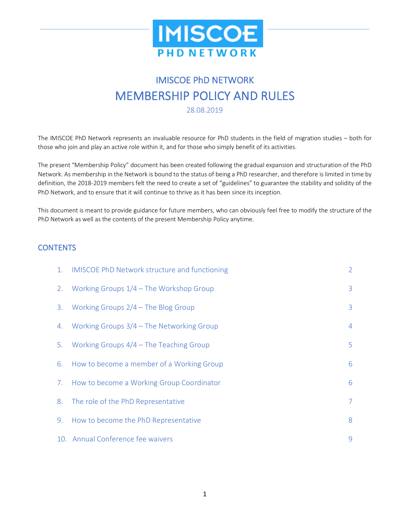

# IMISCOE PhD NETWORK MEMBERSHIP POLICY AND RULES

The IMISCOE PhD Network represents an invaluable resource for PhD students in the field of migration studies – both for those who join and play an active role within it, and for those who simply benefit of its activities.

The present "Membership Policy" document has been created following the gradual expansion and structuration of the PhD Network. As membership in the Network is bound to the status of being a PhD researcher, and therefore is limited in time by definition, the 2018-2019 members felt the need to create a set of "guidelines" to guarantee the stability and solidity of the PhD Network, and to ensure that it will continue to thrive as it has been since its inception.

This document is meant to provide guidance for future members, who can obviously feel free to modify the structure of the PhD Network as well as the contents of the present Membership Policy anytime.

#### **CONTENTS**

| 1. | <b>IMISCOE PhD Network structure and functioning</b> | $\overline{2}$ |
|----|------------------------------------------------------|----------------|
| 2. | Working Groups $1/4$ – The Workshop Group            | 3              |
| 3. | Working Groups $2/4$ – The Blog Group                | 3              |
| 4. | Working Groups $3/4$ – The Networking Group          | 4              |
| 5. | Working Groups $4/4$ – The Teaching Group            | 5              |
| 6. | How to become a member of a Working Group            | 6              |
| 7. | How to become a Working Group Coordinator            | 6              |
| 8. | The role of the PhD Representative                   | $\overline{7}$ |
| 9. | How to become the PhD Representative                 | 8              |
|    | 10. Annual Conference fee waivers                    | 9              |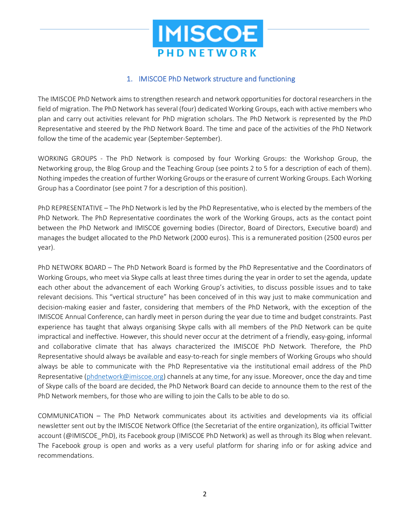

## 1. IMISCOE PhD Network structure and functioning

The IMISCOE PhD Network aims to strengthen research and network opportunities for doctoral researchers in the field of migration. The PhD Network has several (four) dedicated Working Groups, each with active members who plan and carry out activities relevant for PhD migration scholars. The PhD Network is represented by the PhD Representative and steered by the PhD Network Board. The time and pace of the activities of the PhD Network follow the time of the academic year (September-September).

WORKING GROUPS - The PhD Network is composed by four Working Groups: the Workshop Group, the Networking group, the Blog Group and the Teaching Group (see points 2 to 5 for a description of each of them). Nothing impedes the creation of further Working Groups or the erasure of current Working Groups. Each Working Group has a Coordinator (see point 7 for a description of this position).

PhD REPRESENTATIVE – The PhD Network is led by the PhD Representative, who is elected by the members of the PhD Network. The PhD Representative coordinates the work of the Working Groups, acts as the contact point between the PhD Network and IMISCOE governing bodies (Director, Board of Directors, Executive board) and manages the budget allocated to the PhD Network (2000 euros). This is a remunerated position (2500 euros per year).

PhD NETWORK BOARD – The PhD Network Board is formed by the PhD Representative and the Coordinators of Working Groups, who meet via Skype calls at least three times during the year in order to set the agenda, update each other about the advancement of each Working Group's activities, to discuss possible issues and to take relevant decisions. This "vertical structure" has been conceived of in this way just to make communication and decision-making easier and faster, considering that members of the PhD Network, with the exception of the IMISCOE Annual Conference, can hardly meet in person during the year due to time and budget constraints. Past experience has taught that always organising Skype calls with all members of the PhD Network can be quite impractical and ineffective. However, this should never occur at the detriment of a friendly, easy-going, informal and collaborative climate that has always characterized the IMISCOE PhD Network. Therefore, the PhD Representative should always be available and easy-to-reach for single members of Working Groups who should always be able to communicate with the PhD Representative via the institutional email address of the PhD Representative (phdnetwork@imiscoe.org) channels at any time, for any issue. Moreover, once the day and time of Skype calls of the board are decided, the PhD Network Board can decide to announce them to the rest of the PhD Network members, for those who are willing to join the Calls to be able to do so.

COMMUNICATION – The PhD Network communicates about its activities and developments via its official newsletter sent out by the IMISCOE Network Office (the Secretariat of the entire organization), its official Twitter account (@IMISCOE\_PhD), its Facebook group (IMISCOE PhD Network) as well as through its Blog when relevant. The Facebook group is open and works as a very useful platform for sharing info or for asking advice and recommendations.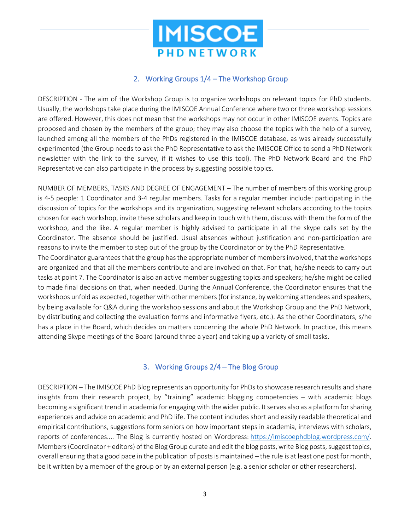

## 2. Working Groups 1/4 – The Workshop Group

DESCRIPTION - The aim of the Workshop Group is to organize workshops on relevant topics for PhD students. Usually, the workshops take place during the IMISCOE Annual Conference where two or three workshop sessions are offered. However, this does not mean that the workshops may not occur in other IMISCOE events. Topics are proposed and chosen by the members of the group; they may also choose the topics with the help of a survey, launched among all the members of the PhDs registered in the IMISCOE database, as was already successfully experimented (the Group needs to ask the PhD Representative to ask the IMISCOE Office to send a PhD Network newsletter with the link to the survey, if it wishes to use this tool). The PhD Network Board and the PhD Representative can also participate in the process by suggesting possible topics.

NUMBER OF MEMBERS, TASKS AND DEGREE OF ENGAGEMENT – The number of members of this working group is 4-5 people: 1 Coordinator and 3-4 regular members. Tasks for a regular member include: participating in the discussion of topics for the workshops and its organization, suggesting relevant scholars according to the topics chosen for each workshop, invite these scholars and keep in touch with them, discuss with them the form of the workshop, and the like. A regular member is highly advised to participate in all the skype calls set by the Coordinator. The absence should be justified. Usual absences without justification and non-participation are reasons to invite the member to step out of the group by the Coordinator or by the PhD Representative.

The Coordinator guarantees that the group has the appropriate number of members involved, that the workshops are organized and that all the members contribute and are involved on that. For that, he/she needs to carry out tasks at point 7. The Coordinator is also an active member suggesting topics and speakers; he/she might be called to made final decisions on that, when needed. During the Annual Conference, the Coordinator ensures that the workshops unfold as expected, together with other members (for instance, by welcoming attendees and speakers, by being available for Q&A during the workshop sessions and about the Workshop Group and the PhD Network, by distributing and collecting the evaluation forms and informative flyers, etc.). As the other Coordinators, s/he has a place in the Board, which decides on matters concerning the whole PhD Network. In practice, this means attending Skype meetings of the Board (around three a year) and taking up a variety of small tasks.

## 3. Working Groups 2/4 – The Blog Group

DESCRIPTION – The IMISCOE PhD Blog represents an opportunity for PhDs to showcase research results and share insights from their research project, by "training" academic blogging competencies – with academic blogs becoming a significant trend in academia for engaging with the wider public. It serves also as a platform for sharing experiences and advice on academic and PhD life. The content includes short and easily readable theoretical and empirical contributions, suggestions form seniors on how important steps in academia, interviews with scholars, reports of conferences.... The Blog is currently hosted on Wordpress: https://imiscoephdblog.wordpress.com/. Members (Coordinator + editors) of the Blog Group curate and edit the blog posts, write Blog posts, suggest topics, overall ensuring that a good pace in the publication of posts is maintained – the rule is at least one post for month, be it written by a member of the group or by an external person (e.g. a senior scholar or other researchers).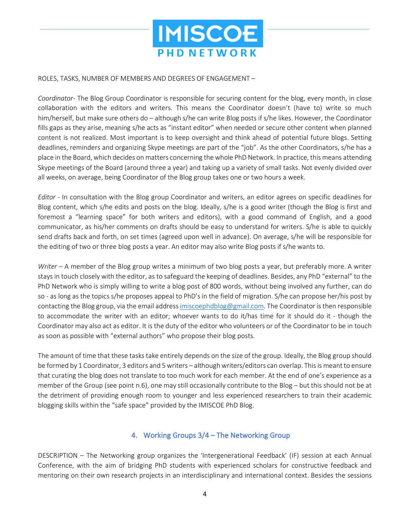

#### ROLES, TASKS, NUMBER OF MEMBERS AND DEGREES OF ENGAGEMENT –

*Coordinator*- The Blog Group Coordinator is responsible for securing content for the blog, every month, in close collaboration with the editors and writers. This means the Coordinator doesn't (have to) write so much him/herself, but make sure others do – although s/he can write Blog posts if s/he likes. However, the Coordinator fills gaps as they arise, meaning s/he acts as "instant editor" when needed or secure other content when planned content is not realized. Most important is to keep oversight and think ahead of potential future blogs. Setting deadlines, reminders and organizing Skype meetings are part of the "job". As the other Coordinators, s/he has a place in the Board, which decides on matters concerning the whole PhD Network. In practice, this means attending Skype meetings of the Board (around three a year) and taking up a variety of small tasks. Not evenly divided over all weeks, on average, being Coordinator of the Blog group takes one or two hours a week.

*Editor* - In consultation with the Blog group Coordinator and writers, an editor agrees on specific deadlines for Blog content, which s/he edits and posts on the blog. Ideally, s/he is a good writer (though the Blog is first and foremost a "learning space" for both writers and editors), with a good command of English, and a good communicator, as his/her comments on drafts should be easy to understand for writers. S/he is able to quickly send drafts back and forth, on set times (agreed upon well in advance). On average, s/he will be responsible for the editing of two or three blog posts a year. An editor may also write Blog posts if s/he wants to.

*Writer* – A member of the Blog group writes a minimum of two blog posts a year, but preferably more. A writer stays in touch closely with the editor, as to safeguard the keeping of deadlines. Besides, any PhD "external" to the PhD Network who is simply willing to write a blog post of 800 words, without being involved any further, can do so - as long as the topics s/he proposes appeal to PhD's in the field of migration. S/he can propose her/his post by contacting the Blog group, via the email address imiscoephdblog@gmail.com. The Coordinator is then responsible to accommodate the writer with an editor; whoever wants to do it/has time for it should do it - though the Coordinator may also act as editor. It is the duty of the editor who volunteers or of the Coordinator to be in touch as soon as possible with "external authors" who propose their blog posts.

The amount of time that these tasks take entirely depends on the size of the group. Ideally, the Blog group should be formed by 1 Coordinator, 3 editors and 5 writers – although writers/editors can overlap. This is meant to ensure that curating the blog does not translate to too much work for each member. At the end of one's experience as a member of the Group (see point n.6), one may still occasionally contribute to the Blog – but this should not be at the detriment of providing enough room to younger and less experienced researchers to train their academic blogging skills within the "safe space" provided by the IMISCOE PhD Blog.

## 4. Working Groups 3/4 – The Networking Group

DESCRIPTION – The Networking group organizes the 'Intergenerational Feedback' (IF) session at each Annual Conference, with the aim of bridging PhD students with experienced scholars for constructive feedback and mentoring on their own research projects in an interdisciplinary and international context. Besides the sessions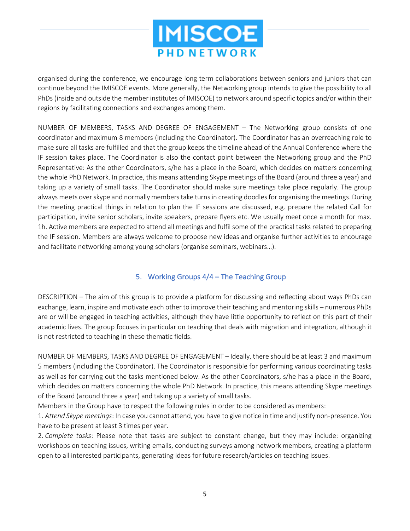

organised during the conference, we encourage long term collaborations between seniors and juniors that can continue beyond the IMISCOE events. More generally, the Networking group intends to give the possibility to all PhDs (inside and outside the member institutes of IMISCOE) to network around specific topics and/or within their regions by facilitating connections and exchanges among them.

NUMBER OF MEMBERS, TASKS AND DEGREE OF ENGAGEMENT – The Networking group consists of one coordinator and maximum 8 members (including the Coordinator). The Coordinator has an overreaching role to make sure all tasks are fulfilled and that the group keeps the timeline ahead of the Annual Conference where the IF session takes place. The Coordinator is also the contact point between the Networking group and the PhD Representative: As the other Coordinators, s/he has a place in the Board, which decides on matters concerning the whole PhD Network. In practice, this means attending Skype meetings of the Board (around three a year) and taking up a variety of small tasks. The Coordinator should make sure meetings take place regularly. The group always meets over skype and normally members take turns in creating doodles for organising the meetings. During the meeting practical things in relation to plan the IF sessions are discussed, e.g. prepare the related Call for participation, invite senior scholars, invite speakers, prepare flyers etc. We usually meet once a month for max. 1h. Active members are expected to attend all meetings and fulfil some of the practical tasks related to preparing the IF session. Members are always welcome to propose new ideas and organise further activities to encourage and facilitate networking among young scholars (organise seminars, webinars…).

## 5. Working Groups 4/4 – The Teaching Group

DESCRIPTION – The aim of this group is to provide a platform for discussing and reflecting about ways PhDs can exchange, learn, inspire and motivate each other to improve their teaching and mentoring skills – numerous PhDs are or will be engaged in teaching activities, although they have little opportunity to reflect on this part of their academic lives. The group focuses in particular on teaching that deals with migration and integration, although it is not restricted to teaching in these thematic fields.

NUMBER OF MEMBERS, TASKS AND DEGREE OF ENGAGEMENT – Ideally, there should be at least 3 and maximum 5 members (including the Coordinator). The Coordinator is responsible for performing various coordinating tasks as well as for carrying out the tasks mentioned below. As the other Coordinators, s/he has a place in the Board, which decides on matters concerning the whole PhD Network. In practice, this means attending Skype meetings of the Board (around three a year) and taking up a variety of small tasks.

Members in the Group have to respect the following rules in order to be considered as members:

1. *Attend Skype meetings*: In case you cannot attend, you have to give notice in time and justify non-presence. You have to be present at least 3 times per year.

2. *Complete tasks*: Please note that tasks are subject to constant change, but they may include: organizing workshops on teaching issues, writing emails, conducting surveys among network members, creating a platform open to all interested participants, generating ideas for future research/articles on teaching issues.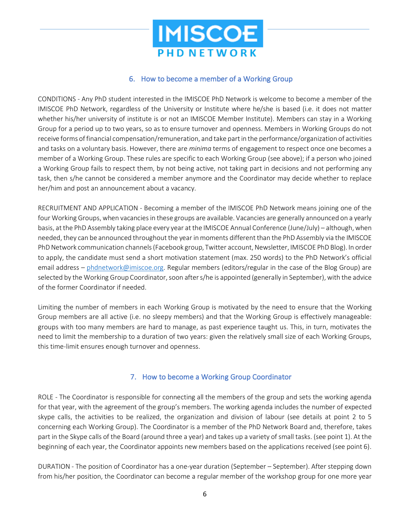

#### 6. How to become a member of a Working Group

CONDITIONS - Any PhD student interested in the IMISCOE PhD Network is welcome to become a member of the IMISCOE PhD Network, regardless of the University or Institute where he/she is based (i.e. it does not matter whether his/her university of institute is or not an IMISCOE Member Institute). Members can stay in a Working Group for a period up to two years, so as to ensure turnover and openness. Members in Working Groups do not receive forms of financial compensation/remuneration, and take part in the performance/organization of activities and tasks on a voluntary basis. However, there are *minima* terms of engagement to respect once one becomes a member of a Working Group. These rules are specific to each Working Group (see above); if a person who joined a Working Group fails to respect them, by not being active, not taking part in decisions and not performing any task, then s/he cannot be considered a member anymore and the Coordinator may decide whether to replace her/him and post an announcement about a vacancy.

RECRUITMENT AND APPLICATION - Becoming a member of the IMISCOE PhD Network means joining one of the four Working Groups, when vacancies in these groups are available. Vacancies are generally announced on a yearly basis, at the PhD Assembly taking place every year at the IMISCOE Annual Conference (June/July) – although, when needed, they can be announced throughout the year in moments different than the PhD Assembly via the IMISCOE PhD Network communication channels (Facebook group, Twitter account, Newsletter, IMISCOE PhD Blog). In order to apply, the candidate must send a short motivation statement (max. 250 words) to the PhD Network's official email address – phdnetwork@imiscoe.org. Regular members (editors/regular in the case of the Blog Group) are selected by the Working Group Coordinator, soon after s/he is appointed (generally in September), with the advice of the former Coordinator if needed.

Limiting the number of members in each Working Group is motivated by the need to ensure that the Working Group members are all active (i.e. no sleepy members) and that the Working Group is effectively manageable: groups with too many members are hard to manage, as past experience taught us. This, in turn, motivates the need to limit the membership to a duration of two years: given the relatively small size of each Working Groups, this time-limit ensures enough turnover and openness.

## 7. How to become a Working Group Coordinator

ROLE - The Coordinator is responsible for connecting all the members of the group and sets the working agenda for that year, with the agreement of the group's members. The working agenda includes the number of expected skype calls, the activities to be realized, the organization and division of labour (see details at point 2 to 5 concerning each Working Group). The Coordinator is a member of the PhD Network Board and, therefore, takes part in the Skype calls of the Board (around three a year) and takes up a variety of small tasks. (see point 1). At the beginning of each year, the Coordinator appoints new members based on the applications received (see point 6).

DURATION - The position of Coordinator has a one-year duration (September – September). After stepping down from his/her position, the Coordinator can become a regular member of the workshop group for one more year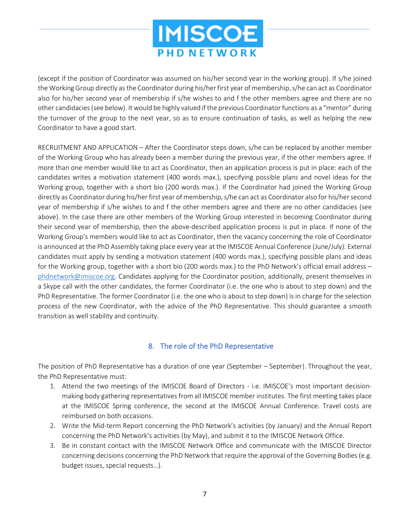

(except if the position of Coordinator was assumed on his/her second year in the working group). If s/he joined the Working Group directly as the Coordinator during his/her first year of membership, s/he can act as Coordinator also for his/her second year of membership if s/he wishes to and f the other members agree and there are no other candidacies (see below). Itwould be highly valued if the previous Coordinator functions as a "mentor" during the turnover of the group to the next year, so as to ensure continuation of tasks, as well as helping the new Coordinator to have a good start.

RECRUITMENT AND APPLICATION – After the Coordinator steps down, s/he can be replaced by another member of the Working Group who has already been a member during the previous year, if the other members agree. If more than one member would like to act as Coordinator, then an application process is put in place: each of the candidates writes a motivation statement (400 words max.), specifying possible plans and novel ideas for the Working group, together with a short bio (200 words max.). If the Coordinator had joined the Working Group directly as Coordinator during his/her first year of membership, s/he can act as Coordinator also for his/her second year of membership if s/he wishes to and f the other members agree and there are no other candidacies (see above). In the case there are other members of the Working Group interested in becoming Coordinator during their second year of membership, then the above-described application process is put in place. If none of the Working Group's members would like to act as Coordinator, then the vacancy concerning the role of Coordinator is announced at the PhD Assembly taking place every year at the IMISCOE Annual Conference (June/July). External candidates must apply by sending a motivation statement (400 words max.), specifying possible plans and ideas for the Working group, together with a short bio (200 words max.) to the PhD Network's official email address – phdnetwork@imiscoe.org. Candidates applying for the Coordinator position, additionally, present themselves in a Skype call with the other candidates, the former Coordinator (i.e. the one who is about to step down) and the PhD Representative. The former Coordinator (i.e. the one who is about to step down) is in charge for the selection process of the new Coordinator, with the advice of the PhD Representative. This should guarantee a smooth transition as well stability and continuity.

#### 8. The role of the PhD Representative

The position of PhD Representative has a duration of one year (September – September). Throughout the year, the PhD Representative must:

- 1. Attend the two meetings of the IMISCOE Board of Directors i.e. IMISCOE's most important decisionmaking body gathering representatives from all IMISCOE member institutes. The first meeting takes place at the IMISCOE Spring conference, the second at the IMISCOE Annual Conference. Travel costs are reimbursed on both occasions.
- 2. Write the Mid-term Report concerning the PhD Network's activities (by January) and the Annual Report concerning the PhD Network's activities (by May), and submit it to the IMISCOE Network Office.
- 3. Be in constant contact with the IMISCOE Network Office and communicate with the IMISCOE Director concerning decisions concerning the PhD Network that require the approval of the Governing Bodies (e.g. budget issues, special requests…).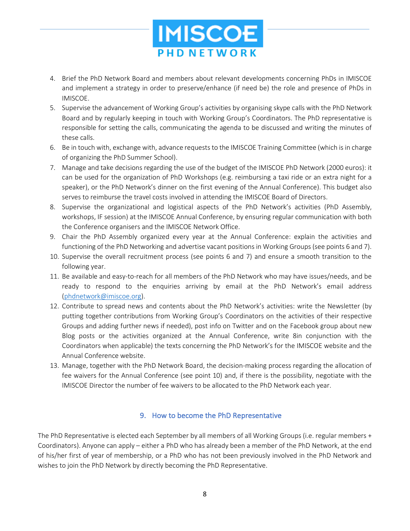

- 4. Brief the PhD Network Board and members about relevant developments concerning PhDs in IMISCOE and implement a strategy in order to preserve/enhance (if need be) the role and presence of PhDs in IMISCOE.
- 5. Supervise the advancement of Working Group's activities by organising skype calls with the PhD Network Board and by regularly keeping in touch with Working Group's Coordinators. The PhD representative is responsible for setting the calls, communicating the agenda to be discussed and writing the minutes of these calls.
- 6. Be in touch with, exchange with, advance requests to the IMISCOE Training Committee (which is in charge of organizing the PhD Summer School).
- 7. Manage and take decisions regarding the use of the budget of the IMISCOE PhD Network (2000 euros): it can be used for the organization of PhD Workshops (e.g. reimbursing a taxi ride or an extra night for a speaker), or the PhD Network's dinner on the first evening of the Annual Conference). This budget also serves to reimburse the travel costs involved in attending the IMISCOE Board of Directors.
- 8. Supervise the organizational and logistical aspects of the PhD Network's activities (PhD Assembly, workshops, IF session) at the IMISCOE Annual Conference, by ensuring regular communication with both the Conference organisers and the IMISCOE Network Office.
- 9. Chair the PhD Assembly organized every year at the Annual Conference: explain the activities and functioning of the PhD Networking and advertise vacant positions in Working Groups (see points 6 and 7).
- 10. Supervise the overall recruitment process (see points 6 and 7) and ensure a smooth transition to the following year.
- 11. Be available and easy-to-reach for all members of the PhD Network who may have issues/needs, and be ready to respond to the enquiries arriving by email at the PhD Network's email address (phdnetwork@imiscoe.org).
- 12. Contribute to spread news and contents about the PhD Network's activities: write the Newsletter (by putting together contributions from Working Group's Coordinators on the activities of their respective Groups and adding further news if needed), post info on Twitter and on the Facebook group about new Blog posts or the activities organized at the Annual Conference, write 8in conjunction with the Coordinators when applicable) the texts concerning the PhD Network's for the IMISCOE website and the Annual Conference website.
- 13. Manage, together with the PhD Network Board, the decision-making process regarding the allocation of fee waivers for the Annual Conference (see point 10) and, if there is the possibility, negotiate with the IMISCOE Director the number of fee waivers to be allocated to the PhD Network each year.

## 9. How to become the PhD Representative

The PhD Representative is elected each September by all members of all Working Groups (i.e. regular members + Coordinators). Anyone can apply – either a PhD who has already been a member of the PhD Network, at the end of his/her first of year of membership, or a PhD who has not been previously involved in the PhD Network and wishes to join the PhD Network by directly becoming the PhD Representative.